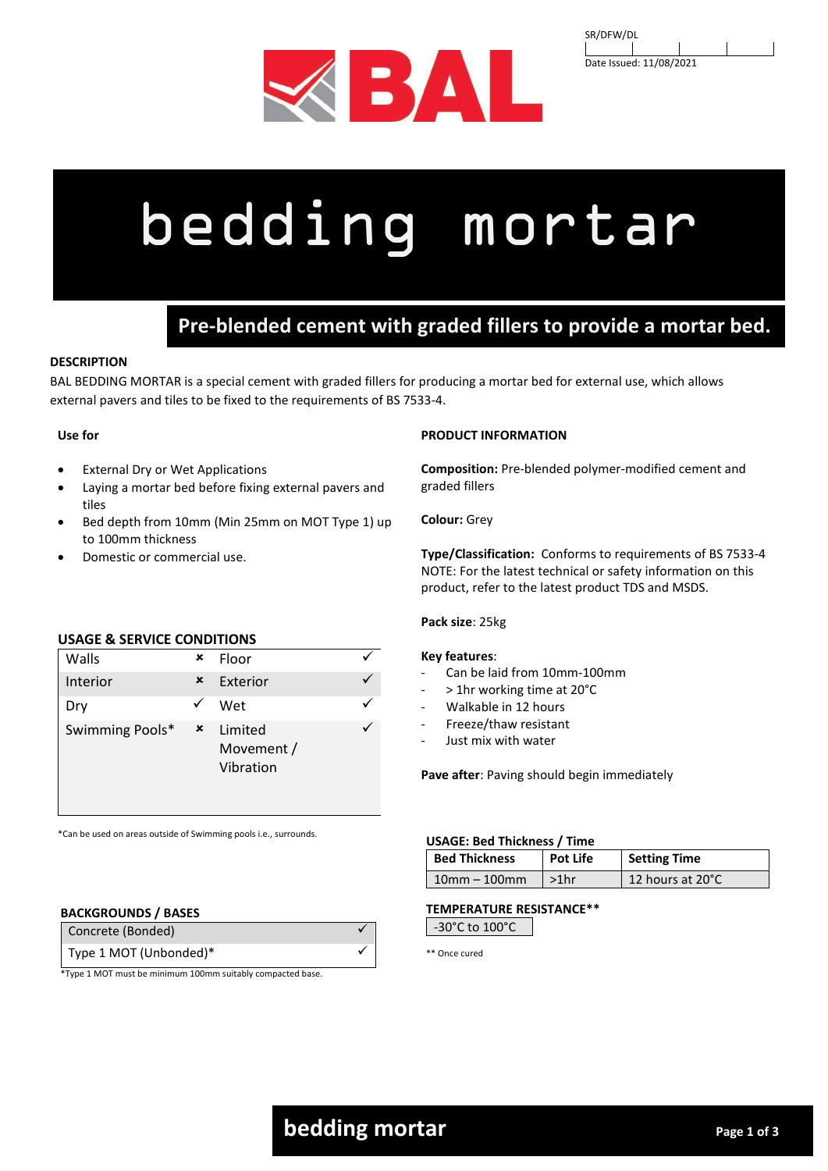

| SR/DFW/DL               |  |  |
|-------------------------|--|--|
|                         |  |  |
| Date Issued: 11/08/2021 |  |  |

# bedding mortar

# **Pre-blended cement with graded fillers to provide a mortar bed.**

# **DESCRIPTION**

BAL BEDDING MORTAR is a special cement with graded fillers for producing a mortar bed for external use, which allows external pavers and tiles to be fixed to the requirements of BS 7533-4.

## **Use for**

- **External Dry or Wet Applications**
- Laying a mortar bed before fixing external pavers and tiles
- Bed depth from 10mm (Min 25mm on MOT Type 1) up to 100mm thickness
- Domestic or commercial use.

# **USAGE & SERVICE CONDITIONS**

| Walls           | × | Floor                              |  |
|-----------------|---|------------------------------------|--|
| Interior        | × | Exterior                           |  |
| Dry             |   | Wet                                |  |
| Swimming Pools* | × | Limited<br>Movement /<br>Vibration |  |

\*Can be used on areas outside of Swimming pools i.e., surrounds.

#### **BACKGROUNDS / BASES**

| Type 1 MOT (Unbonded)* | Concrete (Bonded) |  |
|------------------------|-------------------|--|
|                        |                   |  |

\*Type 1 MOT must be minimum 100mm suitably compacted base.

#### **PRODUCT INFORMATION**

**Composition:** Pre-blended polymer-modified cement and graded fillers

#### **Colour:** Grey

**Type/Classification:** Conforms to requirements of BS 7533-4 NOTE: For the latest technical or safety information on this product, refer to the latest product TDS and MSDS.

#### **Pack size**: 25kg

#### **Key features**:

- Can be laid from 10mm-100mm
- > 1hr working time at 20°C
- Walkable in 12 hours
- Freeze/thaw resistant
- Just mix with water

**Pave after**: Paving should begin immediately

#### **USAGE: Bed Thickness / Time**

| <b>Bed Thickness</b> | <b>Pot Life</b> | <b>Setting Time</b> |
|----------------------|-----------------|---------------------|
| $10mm - 100mm$       | $>1$ hr         | 12 hours at 20°C    |

#### **TEMPERATURE RESISTANCE\*\***

| -30°C to 100°C |
|----------------|
|----------------|

\*\* Once cured

# **bedding mortar Page 1 of 3 bedding mortar**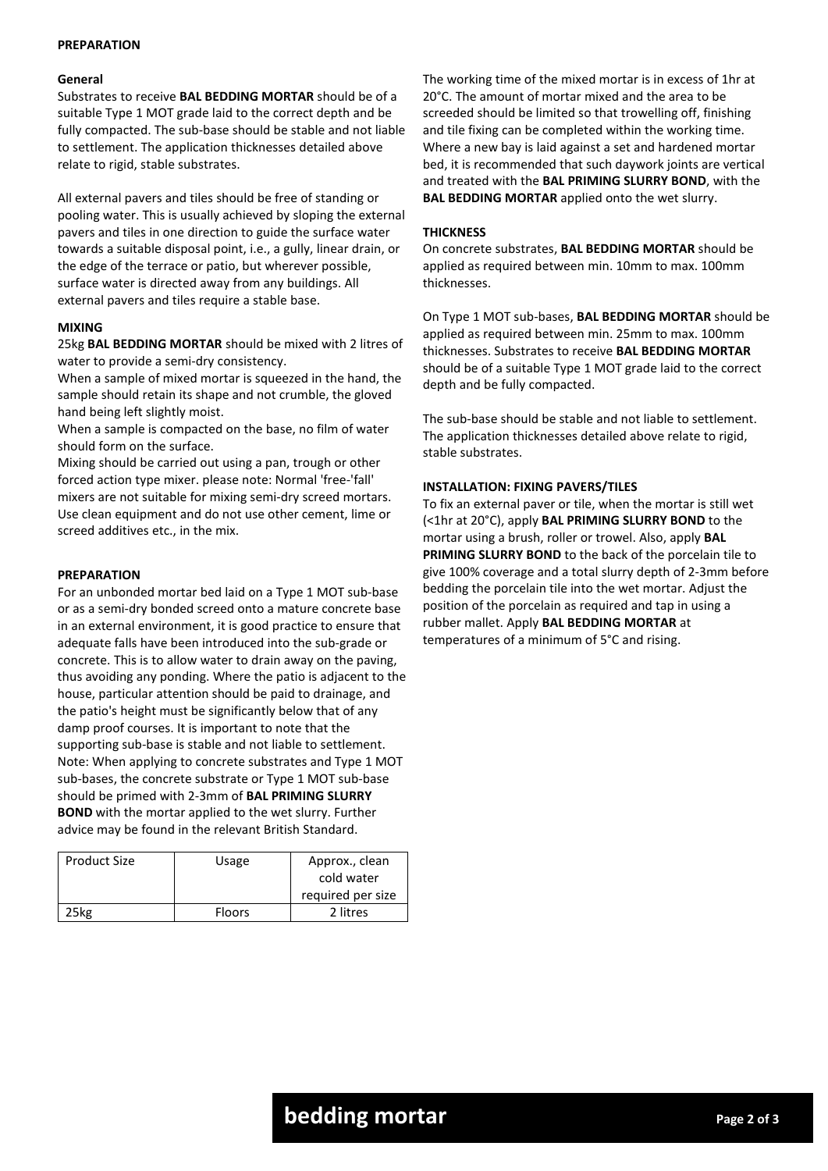#### **PREPARATION**

#### **General**

Substrates to receive **BAL BEDDING MORTAR** should be of a suitable Type 1 MOT grade laid to the correct depth and be fully compacted. The sub-base should be stable and not liable to settlement. The application thicknesses detailed above relate to rigid, stable substrates.

All external pavers and tiles should be free of standing or pooling water. This is usually achieved by sloping the external pavers and tiles in one direction to guide the surface water towards a suitable disposal point, i.e., a gully, linear drain, or the edge of the terrace or patio, but wherever possible, surface water is directed away from any buildings. All external pavers and tiles require a stable base.

#### **MIXING**

25kg **BAL BEDDING MORTAR** should be mixed with 2 litres of water to provide a semi-dry consistency.

When a sample of mixed mortar is squeezed in the hand, the sample should retain its shape and not crumble, the gloved hand being left slightly moist.

When a sample is compacted on the base, no film of water should form on the surface.

Mixing should be carried out using a pan, trough or other forced action type mixer. please note: Normal 'free-'fall' mixers are not suitable for mixing semi-dry screed mortars. Use clean equipment and do not use other cement, lime or screed additives etc., in the mix.

#### **PREPARATION**

For an unbonded mortar bed laid on a Type 1 MOT sub-base or as a semi-dry bonded screed onto a mature concrete base in an external environment, it is good practice to ensure that adequate falls have been introduced into the sub-grade or concrete. This is to allow water to drain away on the paving, thus avoiding any ponding. Where the patio is adjacent to the house, particular attention should be paid to drainage, and the patio's height must be significantly below that of any damp proof courses. It is important to note that the supporting sub-base is stable and not liable to settlement. Note: When applying to concrete substrates and Type 1 MOT sub-bases, the concrete substrate or Type 1 MOT sub-base should be primed with 2-3mm of **BAL PRIMING SLURRY BOND** with the mortar applied to the wet slurry. Further advice may be found in the relevant British Standard.

| <b>Product Size</b> | Usage         | Approx., clean    |
|---------------------|---------------|-------------------|
|                     |               | cold water        |
|                     |               | required per size |
| :5kg                | <b>Floors</b> | 2 litres          |

The working time of the mixed mortar is in excess of 1hr at 20°C. The amount of mortar mixed and the area to be screeded should be limited so that trowelling off, finishing and tile fixing can be completed within the working time. Where a new bay is laid against a set and hardened mortar bed, it is recommended that such daywork joints are vertical and treated with the **BAL PRIMING SLURRY BOND**, with the **BAL BEDDING MORTAR** applied onto the wet slurry.

#### **THICKNESS**

On concrete substrates, **BAL BEDDING MORTAR** should be applied as required between min. 10mm to max. 100mm thicknesses.

On Type 1 MOT sub-bases, **BAL BEDDING MORTAR** should be applied as required between min. 25mm to max. 100mm thicknesses. Substrates to receive **BAL BEDDING MORTAR**  should be of a suitable Type 1 MOT grade laid to the correct depth and be fully compacted.

The sub-base should be stable and not liable to settlement. The application thicknesses detailed above relate to rigid, stable substrates.

#### **INSTALLATION: FIXING PAVERS/TILES**

To fix an external paver or tile, when the mortar is still wet (<1hr at 20°C), apply **BAL PRIMING SLURRY BOND** to the mortar using a brush, roller or trowel. Also, apply **BAL PRIMING SLURRY BOND** to the back of the porcelain tile to give 100% coverage and a total slurry depth of 2-3mm before bedding the porcelain tile into the wet mortar. Adjust the position of the porcelain as required and tap in using a rubber mallet. Apply **BAL BEDDING MORTAR** at temperatures of a minimum of 5°C and rising.